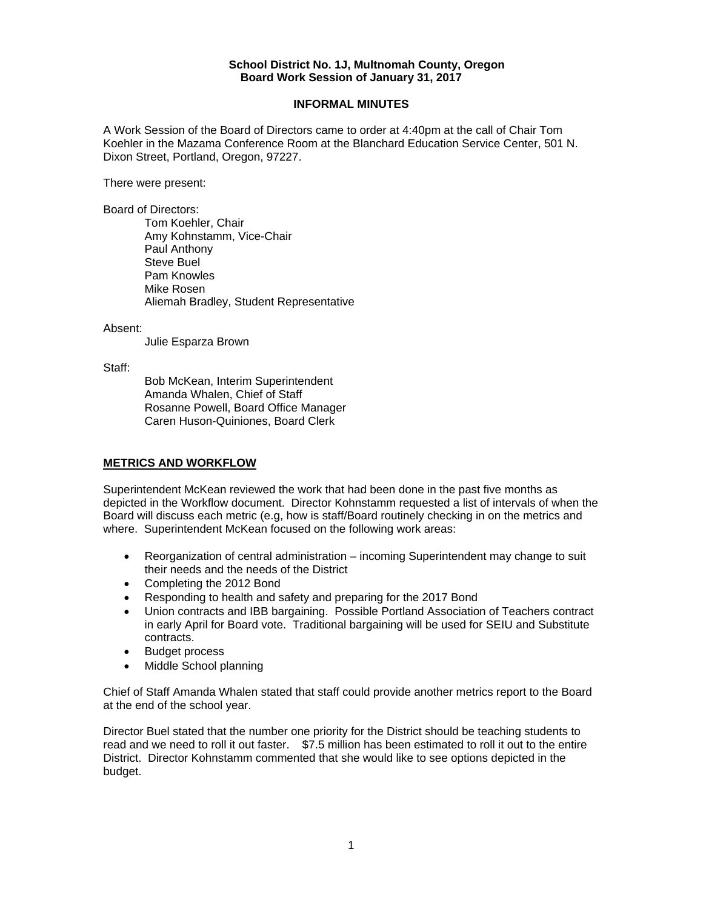#### **School District No. 1J, Multnomah County, Oregon Board Work Session of January 31, 2017**

#### **INFORMAL MINUTES**

A Work Session of the Board of Directors came to order at 4:40pm at the call of Chair Tom Koehler in the Mazama Conference Room at the Blanchard Education Service Center, 501 N. Dixon Street, Portland, Oregon, 97227.

There were present:

Board of Directors:

Tom Koehler, Chair Amy Kohnstamm, Vice-Chair Paul Anthony Steve Buel Pam Knowles Mike Rosen Aliemah Bradley, Student Representative

Absent:

Julie Esparza Brown

Staff:

 Bob McKean, Interim Superintendent Amanda Whalen, Chief of Staff Rosanne Powell, Board Office Manager Caren Huson-Quiniones, Board Clerk

# **METRICS AND WORKFLOW**

Superintendent McKean reviewed the work that had been done in the past five months as depicted in the Workflow document. Director Kohnstamm requested a list of intervals of when the Board will discuss each metric (e.g, how is staff/Board routinely checking in on the metrics and where. Superintendent McKean focused on the following work areas:

- Reorganization of central administration incoming Superintendent may change to suit their needs and the needs of the District
- Completing the 2012 Bond
- Responding to health and safety and preparing for the 2017 Bond
- Union contracts and IBB bargaining. Possible Portland Association of Teachers contract in early April for Board vote. Traditional bargaining will be used for SEIU and Substitute contracts.
- Budget process
- Middle School planning

Chief of Staff Amanda Whalen stated that staff could provide another metrics report to the Board at the end of the school year.

Director Buel stated that the number one priority for the District should be teaching students to read and we need to roll it out faster. \$7.5 million has been estimated to roll it out to the entire District. Director Kohnstamm commented that she would like to see options depicted in the budget.